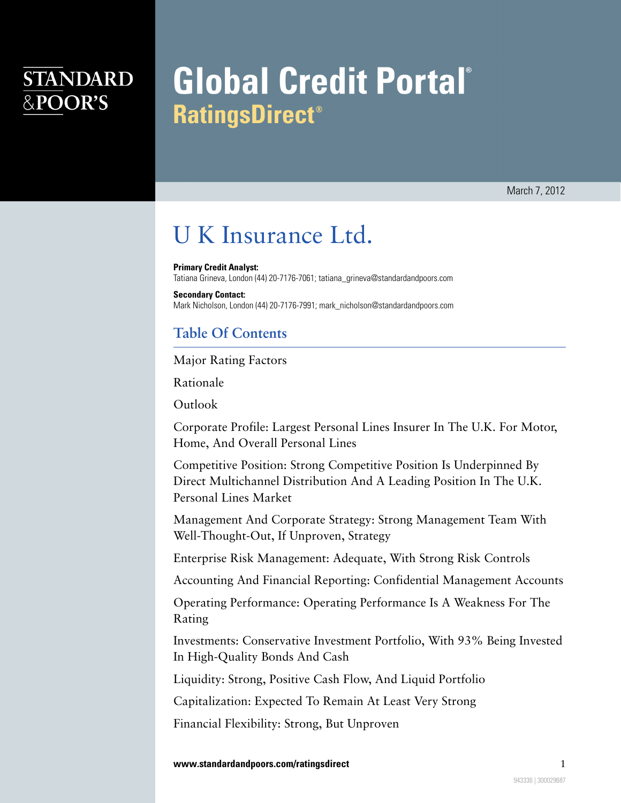## **STANDARD** &POOR'S

# **Global Credit Portal**® **RatingsDirect<sup>®</sup>**

March 7, 2012

## U K Insurance Ltd.

**Primary Credit Analyst:** Tatiana Grineva, London (44) 20-7176-7061; tatiana\_grineva@standardandpoors.com

**Secondary Contact:** Mark Nicholson, London (44) 20-7176-7991; mark\_nicholson@standardandpoors.com

## **Table Of Contents**

[Major Rating Factors](#page-1-0)

[Rationale](#page-1-1)

[Outlook](#page-2-0)

[Corporate Profile: Largest Personal Lines Insurer In The U.K. For Motor,](#page-2-1) [Home, And Overall Personal Lines](#page-2-1)

[Competitive Position: Strong Competitive Position Is Underpinned By](#page-3-0) [Direct Multichannel Distribution And A Leading Position In The U.K.](#page-3-0) [Personal Lines Market](#page-3-0)

[Management And Corporate Strategy: Strong Management Team With](#page-5-0) [Well-Thought-Out, If Unproven, Strategy](#page-5-0)

[Enterprise Risk Management: Adequate, With Strong Risk Controls](#page-6-0)

[Accounting And Financial Reporting: Confidential Management Accounts](#page-6-1)

[Operating Performance: Operating Performance Is A Weakness For The](#page-7-0) [Rating](#page-7-0)

[Investments: Conservative Investment Portfolio, With 93% Being Invested](#page-8-0) [In High-Quality Bonds And Cash](#page-8-0)

[Liquidity: Strong, Positive Cash Flow, And Liquid Portfolio](#page-8-1)

[Capitalization: Expected To Remain At Least Very Strong](#page-8-2)

[Financial Flexibility: Strong, But Unproven](#page-9-0)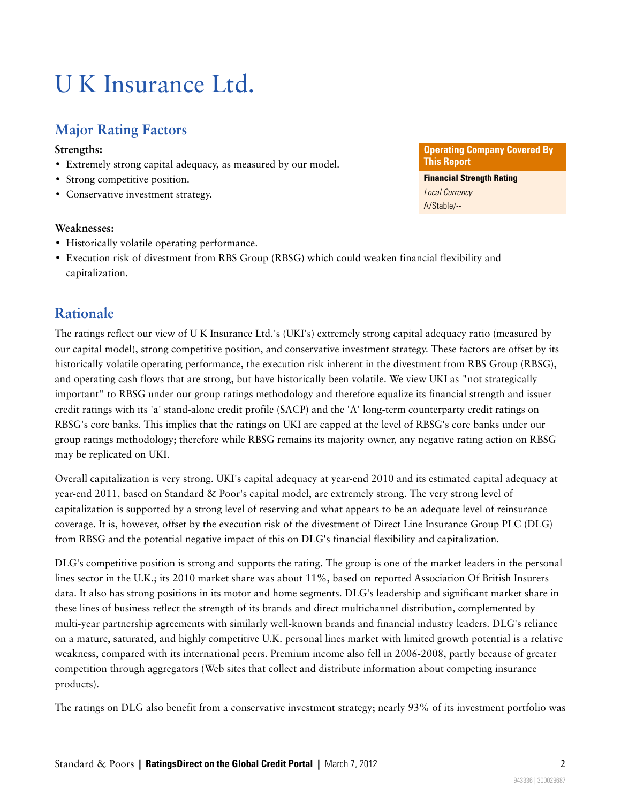## U K Insurance Ltd.

## <span id="page-1-0"></span>**Major Rating Factors**

#### **Strengths:**

- Extremely strong capital adequacy, as measured by our model.
- Strong competitive position.
- Conservative investment strategy.

#### **Weaknesses:**

- Historically volatile operating performance.
- Execution risk of divestment from RBS Group (RBSG) which could weaken financial flexibility and capitalization.

## <span id="page-1-1"></span>**Rationale**

The ratings reflect our view of U K Insurance Ltd.'s (UKI's) extremely strong capital adequacy ratio (measured by our capital model), strong competitive position, and conservative investment strategy. These factors are offset by its historically volatile operating performance, the execution risk inherent in the divestment from RBS Group (RBSG), and operating cash flows that are strong, but have historically been volatile. We view UKI as "not strategically important" to RBSG under our group ratings methodology and therefore equalize its financial strength and issuer credit ratings with its 'a' stand-alone credit profile (SACP) and the 'A' long-term counterparty credit ratings on RBSG's core banks. This implies that the ratings on UKI are capped at the level of RBSG's core banks under our group ratings methodology; therefore while RBSG remains its majority owner, any negative rating action on RBSG may be replicated on UKI.

Overall capitalization is very strong. UKI's capital adequacy at year-end 2010 and its estimated capital adequacy at year-end 2011, based on Standard & Poor's capital model, are extremely strong. The very strong level of capitalization is supported by a strong level of reserving and what appears to be an adequate level of reinsurance coverage. It is, however, offset by the execution risk of the divestment of Direct Line Insurance Group PLC (DLG) from RBSG and the potential negative impact of this on DLG's financial flexibility and capitalization.

DLG's competitive position is strong and supports the rating. The group is one of the market leaders in the personal lines sector in the U.K.; its 2010 market share was about 11%, based on reported Association Of British Insurers data. It also has strong positions in its motor and home segments. DLG's leadership and significant market share in these lines of business reflect the strength of its brands and direct multichannel distribution, complemented by multi-year partnership agreements with similarly well-known brands and financial industry leaders. DLG's reliance on a mature, saturated, and highly competitive U.K. personal lines market with limited growth potential is a relative weakness, compared with its international peers. Premium income also fell in 2006-2008, partly because of greater competition through aggregators (Web sites that collect and distribute information about competing insurance products).

The ratings on DLG also benefit from a conservative investment strategy; nearly 93% of its investment portfolio was

#### **Operating Company Covered By This Report Financial Strength Rating** Local Currency A/Stable/--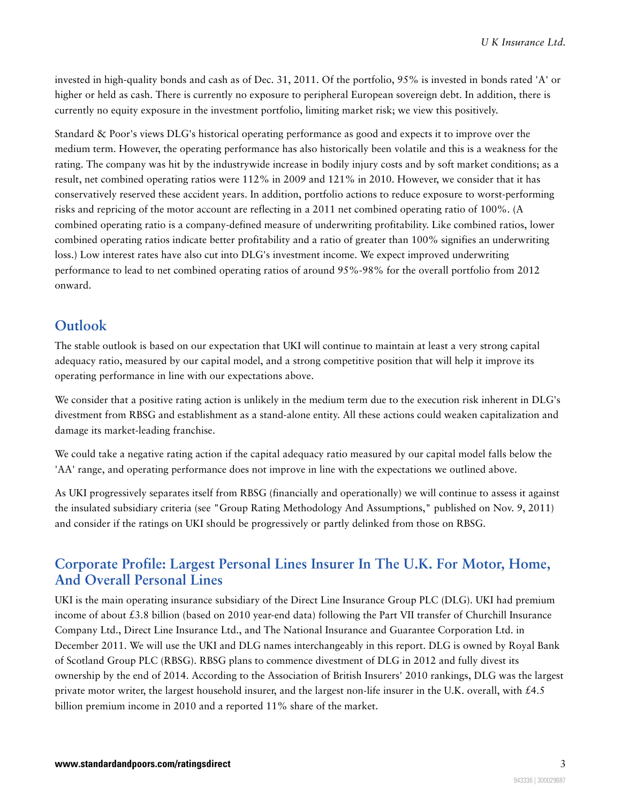invested in high-quality bonds and cash as of Dec. 31, 2011. Of the portfolio, 95% is invested in bonds rated 'A' or higher or held as cash. There is currently no exposure to peripheral European sovereign debt. In addition, there is currently no equity exposure in the investment portfolio, limiting market risk; we view this positively.

Standard & Poor's views DLG's historical operating performance as good and expects it to improve over the medium term. However, the operating performance has also historically been volatile and this is a weakness for the rating. The company was hit by the industrywide increase in bodily injury costs and by soft market conditions; as a result, net combined operating ratios were 112% in 2009 and 121% in 2010. However, we consider that it has conservatively reserved these accident years. In addition, portfolio actions to reduce exposure to worst-performing risks and repricing of the motor account are reflecting in a 2011 net combined operating ratio of 100%. (A combined operating ratio is a company-defined measure of underwriting profitability. Like combined ratios, lower combined operating ratios indicate better profitability and a ratio of greater than 100% signifies an underwriting loss.) Low interest rates have also cut into DLG's investment income. We expect improved underwriting performance to lead to net combined operating ratios of around 95%-98% for the overall portfolio from 2012 onward.

## <span id="page-2-0"></span>**Outlook**

The stable outlook is based on our expectation that UKI will continue to maintain at least a very strong capital adequacy ratio, measured by our capital model, and a strong competitive position that will help it improve its operating performance in line with our expectations above.

We consider that a positive rating action is unlikely in the medium term due to the execution risk inherent in DLG's divestment from RBSG and establishment as a stand-alone entity. All these actions could weaken capitalization and damage its market-leading franchise.

We could take a negative rating action if the capital adequacy ratio measured by our capital model falls below the 'AA' range, and operating performance does not improve in line with the expectations we outlined above.

As UKI progressively separates itself from RBSG (financially and operationally) we will continue to assess it against the insulated subsidiary criteria (see "Group Rating Methodology And Assumptions," published on Nov. 9, 2011) and consider if the ratings on UKI should be progressively or partly delinked from those on RBSG.

## <span id="page-2-1"></span>**Corporate Profile: Largest Personal Lines Insurer In The U.K. For Motor, Home, And Overall Personal Lines**

UKI is the main operating insurance subsidiary of the Direct Line Insurance Group PLC (DLG). UKI had premium income of about £3.8 billion (based on 2010 year-end data) following the Part VII transfer of Churchill Insurance Company Ltd., Direct Line Insurance Ltd., and The National Insurance and Guarantee Corporation Ltd. in December 2011. We will use the UKI and DLG names interchangeably in this report. DLG is owned by Royal Bank of Scotland Group PLC (RBSG). RBSG plans to commence divestment of DLG in 2012 and fully divest its ownership by the end of 2014. According to the Association of British Insurers' 2010 rankings, DLG was the largest private motor writer, the largest household insurer, and the largest non-life insurer in the U.K. overall, with £4.5 billion premium income in 2010 and a reported 11% share of the market.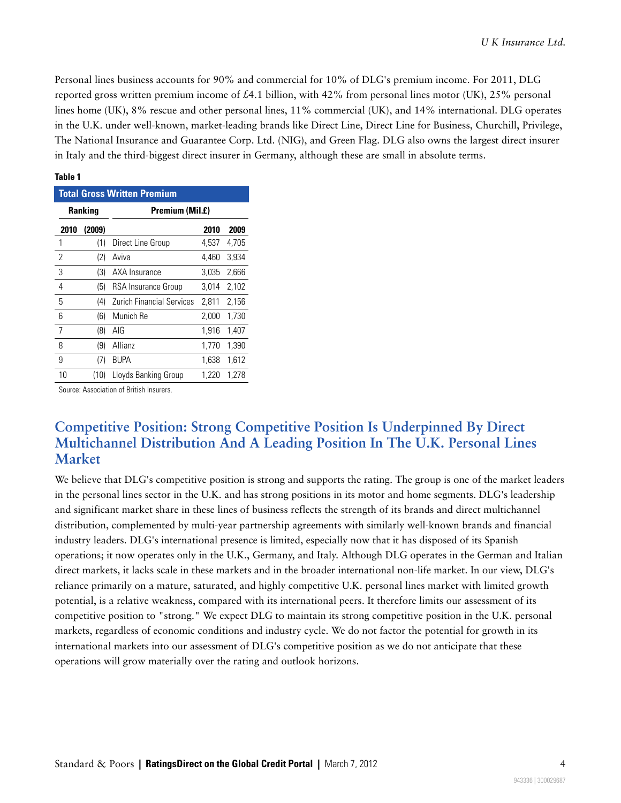Personal lines business accounts for 90% and commercial for 10% of DLG's premium income. For 2011, DLG reported gross written premium income of £4.1 billion, with 42% from personal lines motor (UK), 25% personal lines home (UK), 8% rescue and other personal lines, 11% commercial (UK), and 14% international. DLG operates in the U.K. under well-known, market-leading brands like Direct Line, Direct Line for Business, Churchill, Privilege, The National Insurance and Guarantee Corp. Ltd. (NIG), and Green Flag. DLG also owns the largest direct insurer in Italy and the third-biggest direct insurer in Germany, although these are small in absolute terms.

| Ranking                            | Premiu |
|------------------------------------|--------|
| <b>Total Gross Written Premium</b> |        |
| IANIG I                            |        |

**Table 1**

| <b>Ranking</b> |        | Premium (Mil.£)                  |       |       |  |  |
|----------------|--------|----------------------------------|-------|-------|--|--|
| 2010           | (2009) |                                  | 2010  | 2009  |  |  |
| 1              | (1)    | Direct Line Group                | 4.537 | 4,705 |  |  |
| 2              | (2)    | Aviva                            | 4.460 | 3,934 |  |  |
| 3              | (3)    | AXA Insurance                    | 3,035 | 2,666 |  |  |
| 4              | (5)    | RSA Insurance Group              | 3.014 | 2,102 |  |  |
| 5              | (4)    | <b>Zurich Financial Services</b> | 2,811 | 2,156 |  |  |
| 6              | (6)    | Munich Re                        | 2,000 | 1,730 |  |  |
| 7              | (8)    | AIG                              | 1,916 | 1,407 |  |  |
| 8              | (9)    | Allianz                          | 1,770 | 1,390 |  |  |
| 9              | (7)    | <b>BUPA</b>                      | 1,638 | 1.612 |  |  |
| 10             | (10)   | Lloyds Banking Group             | 1,220 | 1.278 |  |  |

<span id="page-3-0"></span>Source: Association of British Insurers.

## **Competitive Position: Strong Competitive Position Is Underpinned By Direct Multichannel Distribution And A Leading Position In The U.K. Personal Lines Market**

We believe that DLG's competitive position is strong and supports the rating. The group is one of the market leaders in the personal lines sector in the U.K. and has strong positions in its motor and home segments. DLG's leadership and significant market share in these lines of business reflects the strength of its brands and direct multichannel distribution, complemented by multi-year partnership agreements with similarly well-known brands and financial industry leaders. DLG's international presence is limited, especially now that it has disposed of its Spanish operations; it now operates only in the U.K., Germany, and Italy. Although DLG operates in the German and Italian direct markets, it lacks scale in these markets and in the broader international non-life market. In our view, DLG's reliance primarily on a mature, saturated, and highly competitive U.K. personal lines market with limited growth potential, is a relative weakness, compared with its international peers. It therefore limits our assessment of its competitive position to "strong." We expect DLG to maintain its strong competitive position in the U.K. personal markets, regardless of economic conditions and industry cycle. We do not factor the potential for growth in its international markets into our assessment of DLG's competitive position as we do not anticipate that these operations will grow materially over the rating and outlook horizons.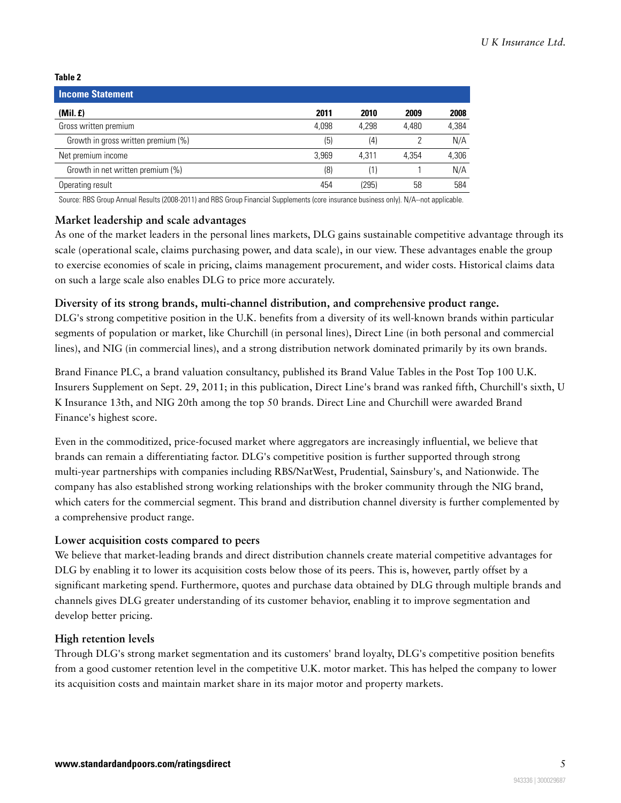**Table 2**

| <b>Income Statement</b>             |       |       |       |       |
|-------------------------------------|-------|-------|-------|-------|
| (Mil. f)                            | 2011  | 2010  | 2009  | 2008  |
| Gross written premium               | 4.098 | 4.298 | 4.480 | 4,384 |
| Growth in gross written premium (%) | (5)   | (4)   |       | N/A   |
| Net premium income                  | 3.969 | 4.311 | 4.354 | 4,306 |
| Growth in net written premium (%)   | (8)   | (1)   |       | N/A   |
| Operating result                    | 454   | (295) | 58    | 584   |

Source: RBS Group Annual Results (2008-2011) and RBS Group Financial Supplements (core insurance business only). N/A--not applicable.

#### **Market leadership and scale advantages**

As one of the market leaders in the personal lines markets, DLG gains sustainable competitive advantage through its scale (operational scale, claims purchasing power, and data scale), in our view. These advantages enable the group to exercise economies of scale in pricing, claims management procurement, and wider costs. Historical claims data on such a large scale also enables DLG to price more accurately.

#### **Diversity of its strong brands, multi-channel distribution, and comprehensive product range.**

DLG's strong competitive position in the U.K. benefits from a diversity of its well-known brands within particular segments of population or market, like Churchill (in personal lines), Direct Line (in both personal and commercial lines), and NIG (in commercial lines), and a strong distribution network dominated primarily by its own brands.

Brand Finance PLC, a brand valuation consultancy, published its Brand Value Tables in the Post Top 100 U.K. Insurers Supplement on Sept. 29, 2011; in this publication, Direct Line's brand was ranked fifth, Churchill's sixth, U K Insurance 13th, and NIG 20th among the top 50 brands. Direct Line and Churchill were awarded Brand Finance's highest score.

Even in the commoditized, price-focused market where aggregators are increasingly influential, we believe that brands can remain a differentiating factor. DLG's competitive position is further supported through strong multi-year partnerships with companies including RBS/NatWest, Prudential, Sainsbury's, and Nationwide. The company has also established strong working relationships with the broker community through the NIG brand, which caters for the commercial segment. This brand and distribution channel diversity is further complemented by a comprehensive product range.

#### **Lower acquisition costs compared to peers**

We believe that market-leading brands and direct distribution channels create material competitive advantages for DLG by enabling it to lower its acquisition costs below those of its peers. This is, however, partly offset by a significant marketing spend. Furthermore, quotes and purchase data obtained by DLG through multiple brands and channels gives DLG greater understanding of its customer behavior, enabling it to improve segmentation and develop better pricing.

#### **High retention levels**

Through DLG's strong market segmentation and its customers' brand loyalty, DLG's competitive position benefits from a good customer retention level in the competitive U.K. motor market. This has helped the company to lower its acquisition costs and maintain market share in its major motor and property markets.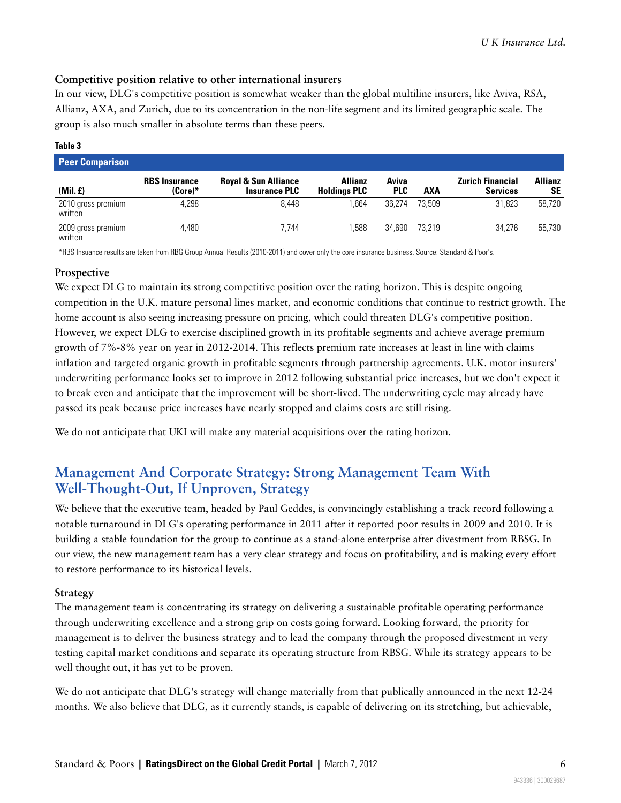#### **Competitive position relative to other international insurers**

In our view, DLG's competitive position is somewhat weaker than the global multiline insurers, like Aviva, RSA, Allianz, AXA, and Zurich, due to its concentration in the non-life segment and its limited geographic scale. The group is also much smaller in absolute terms than these peers.

#### **Table 3**

| <b>Peer Comparison</b>        |                                 |                                                         |                                       |                     |        |                                            |                      |
|-------------------------------|---------------------------------|---------------------------------------------------------|---------------------------------------|---------------------|--------|--------------------------------------------|----------------------|
| (Mil. f)                      | <b>RBS</b> Insurance<br>(Core)* | <b>Royal &amp; Sun Alliance</b><br><b>Insurance PLC</b> | <b>Allianz</b><br><b>Holdings PLC</b> | Aviva<br><b>PLC</b> | AXA    | <b>Zurich Financial</b><br><b>Services</b> | <b>Allianz</b><br>SΕ |
| 2010 gross premium<br>written | 4.298                           | 8.448                                                   | .664                                  | 36.274              | 73.509 | 31.823                                     | 58.720               |
| 2009 gross premium<br>written | 4.480                           | 7.744                                                   | .588                                  | 34.690              | 73.219 | 34.276                                     | 55.730               |

\*RBS Insuance results are taken from RBG Group Annual Results (2010-2011) and cover only the core insurance business. Source: Standard & Poor's.

#### **Prospective**

We expect DLG to maintain its strong competitive position over the rating horizon. This is despite ongoing competition in the U.K. mature personal lines market, and economic conditions that continue to restrict growth. The home account is also seeing increasing pressure on pricing, which could threaten DLG's competitive position. However, we expect DLG to exercise disciplined growth in its profitable segments and achieve average premium growth of 7%-8% year on year in 2012-2014. This reflects premium rate increases at least in line with claims inflation and targeted organic growth in profitable segments through partnership agreements. U.K. motor insurers' underwriting performance looks set to improve in 2012 following substantial price increases, but we don't expect it to break even and anticipate that the improvement will be short-lived. The underwriting cycle may already have passed its peak because price increases have nearly stopped and claims costs are still rising.

<span id="page-5-0"></span>We do not anticipate that UKI will make any material acquisitions over the rating horizon.

## **Management And Corporate Strategy: Strong Management Team With Well-Thought-Out, If Unproven, Strategy**

We believe that the executive team, headed by Paul Geddes, is convincingly establishing a track record following a notable turnaround in DLG's operating performance in 2011 after it reported poor results in 2009 and 2010. It is building a stable foundation for the group to continue as a stand-alone enterprise after divestment from RBSG. In our view, the new management team has a very clear strategy and focus on profitability, and is making every effort to restore performance to its historical levels.

#### **Strategy**

The management team is concentrating its strategy on delivering a sustainable profitable operating performance through underwriting excellence and a strong grip on costs going forward. Looking forward, the priority for management is to deliver the business strategy and to lead the company through the proposed divestment in very testing capital market conditions and separate its operating structure from RBSG. While its strategy appears to be well thought out, it has yet to be proven.

We do not anticipate that DLG's strategy will change materially from that publically announced in the next 12-24 months. We also believe that DLG, as it currently stands, is capable of delivering on its stretching, but achievable,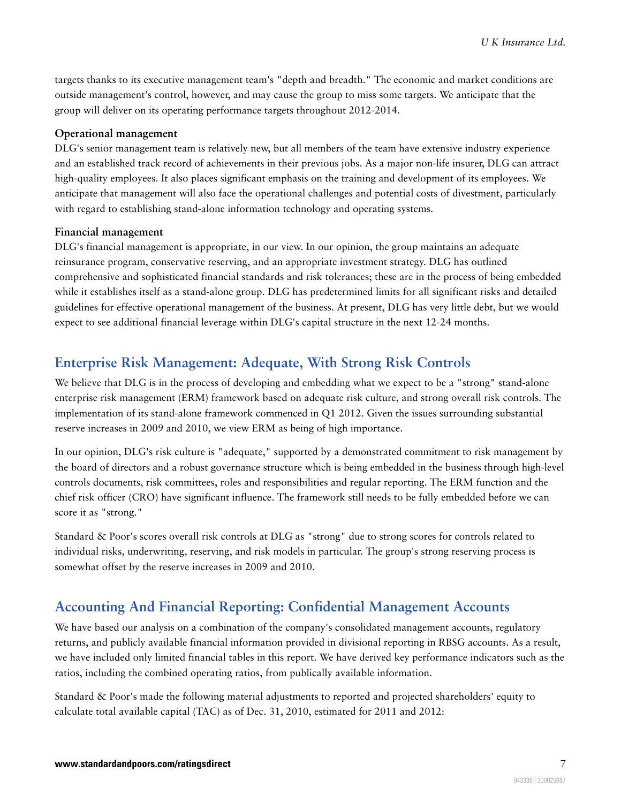targets thanks to its executive management team's "depth and breadth." The economic and market conditions are outside management's control, however, and may cause the group to miss some targets. We anticipate that the group will deliver on its operating performance targets throughout 2012-2014.

#### **Operational management**

DLG's senior management team is relatively new, but all members of the team have extensive industry experience and an established track record of achievements in their previous jobs. As a major non-life insurer, DLG can attract high-quality employees. It also places significant emphasis on the training and development of its employees. We anticipate that management will also face the operational challenges and potential costs of divestment, particularly with regard to establishing stand-alone information technology and operating systems.

#### **Financial management**

DLG's financial management is appropriate, in our view. In our opinion, the group maintains an adequate reinsurance program, conservative reserving, and an appropriate investment strategy. DLG has outlined comprehensive and sophisticated financial standards and risk tolerances; these are in the process of being embedded while it establishes itself as a stand-alone group. DLG has predetermined limits for all significant risks and detailed guidelines for effective operational management of the business. At present, DLG has very little debt, but we would expect to see additional financial leverage within DLG's capital structure in the next 12-24 months.

## <span id="page-6-0"></span>**Enterprise Risk Management: Adequate, With Strong Risk Controls**

We believe that DLG is in the process of developing and embedding what we expect to be a "strong" stand-alone enterprise risk management (ERM) framework based on adequate risk culture, and strong overall risk controls. The implementation of its stand-alone framework commenced in Q1 2012. Given the issues surrounding substantial reserve increases in 2009 and 2010, we view ERM as being of high importance.

In our opinion, DLG's risk culture is "adequate," supported by a demonstrated commitment to risk management by the board of directors and a robust governance structure which is being embedded in the business through high-level controls documents, risk committees, roles and responsibilities and regular reporting. The ERM function and the chief risk officer (CRO) have significant influence. The framework still needs to be fully embedded before we can score it as "strong."

Standard & Poor's scores overall risk controls at DLG as "strong" due to strong scores for controls related to individual risks, underwriting, reserving, and risk models in particular. The group's strong reserving process is somewhat offset by the reserve increases in 2009 and 2010.

## <span id="page-6-1"></span>**Accounting And Financial Reporting: Confidential Management Accounts**

We have based our analysis on a combination of the company's consolidated management accounts, regulatory returns, and publicly available financial information provided in divisional reporting in RBSG accounts. As a result, we have included only limited financial tables in this report. We have derived key performance indicators such as the ratios, including the combined operating ratios, from publically available information.

Standard & Poor's made the following material adjustments to reported and projected shareholders' equity to calculate total available capital (TAC) as of Dec. 31, 2010, estimated for 2011 and 2012: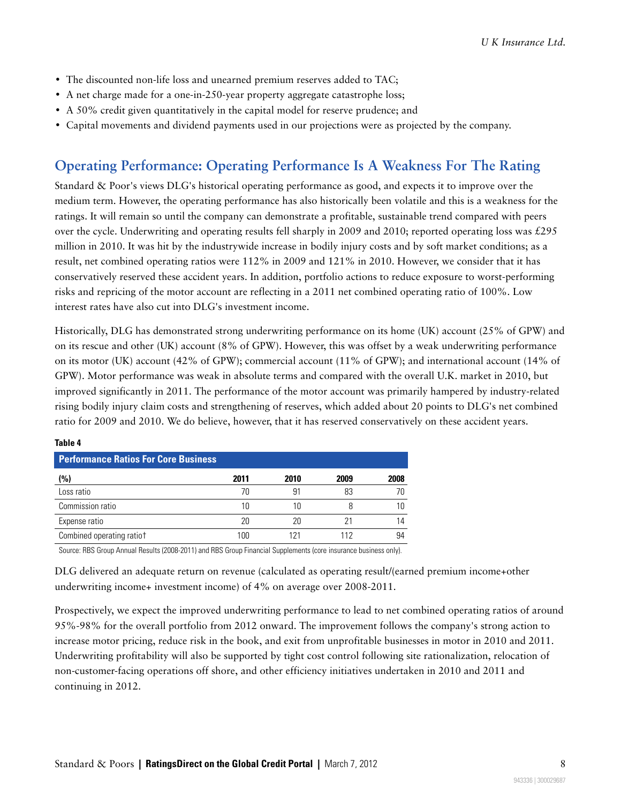- The discounted non-life loss and unearned premium reserves added to TAC;
- A net charge made for a one-in-250-year property aggregate catastrophe loss;
- A 50% credit given quantitatively in the capital model for reserve prudence; and
- <span id="page-7-0"></span>• Capital movements and dividend payments used in our projections were as projected by the company.

## **Operating Performance: Operating Performance Is A Weakness For The Rating**

Standard & Poor's views DLG's historical operating performance as good, and expects it to improve over the medium term. However, the operating performance has also historically been volatile and this is a weakness for the ratings. It will remain so until the company can demonstrate a profitable, sustainable trend compared with peers over the cycle. Underwriting and operating results fell sharply in 2009 and 2010; reported operating loss was £295 million in 2010. It was hit by the industrywide increase in bodily injury costs and by soft market conditions; as a result, net combined operating ratios were 112% in 2009 and 121% in 2010. However, we consider that it has conservatively reserved these accident years. In addition, portfolio actions to reduce exposure to worst-performing risks and repricing of the motor account are reflecting in a 2011 net combined operating ratio of 100%. Low interest rates have also cut into DLG's investment income.

Historically, DLG has demonstrated strong underwriting performance on its home (UK) account (25% of GPW) and on its rescue and other (UK) account (8% of GPW). However, this was offset by a weak underwriting performance on its motor (UK) account (42% of GPW); commercial account (11% of GPW); and international account (14% of GPW). Motor performance was weak in absolute terms and compared with the overall U.K. market in 2010, but improved significantly in 2011. The performance of the motor account was primarily hampered by industry-related rising bodily injury claim costs and strengthening of reserves, which added about 20 points to DLG's net combined ratio for 2009 and 2010. We do believe, however, that it has reserved conservatively on these accident years.

| <b>Performance Ratios For Core Business</b> |      |      |      |      |  |
|---------------------------------------------|------|------|------|------|--|
| (%)                                         | 2011 | 2010 | 2009 | 2008 |  |
| Loss ratio                                  | 70   | 91   | 83   |      |  |
| Commission ratio                            | 10   |      |      |      |  |
| Expense ratio                               | 20   | 20   |      | 14   |  |
| Combined operating ratiot                   | 100  |      | 112  | 94   |  |

#### **Table 4**

Source: RBS Group Annual Results (2008-2011) and RBS Group Financial Supplements (core insurance business only).

DLG delivered an adequate return on revenue (calculated as operating result/(earned premium income+other underwriting income+ investment income) of 4% on average over 2008-2011.

Prospectively, we expect the improved underwriting performance to lead to net combined operating ratios of around 95%-98% for the overall portfolio from 2012 onward. The improvement follows the company's strong action to increase motor pricing, reduce risk in the book, and exit from unprofitable businesses in motor in 2010 and 2011. Underwriting profitability will also be supported by tight cost control following site rationalization, relocation of non-customer-facing operations off shore, and other efficiency initiatives undertaken in 2010 and 2011 and continuing in 2012.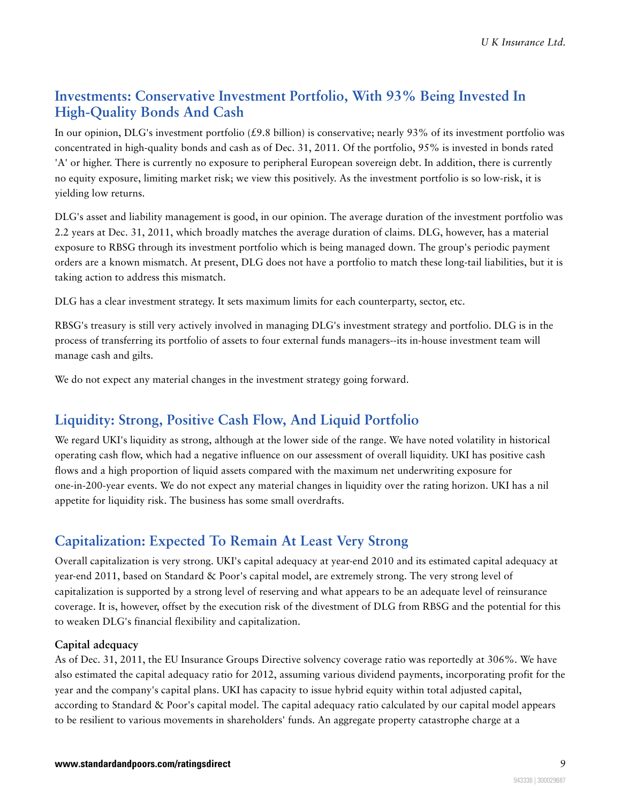## <span id="page-8-0"></span>**Investments: Conservative Investment Portfolio, With 93% Being Invested In High-Quality Bonds And Cash**

In our opinion, DLG's investment portfolio (£9.8 billion) is conservative; nearly 93% of its investment portfolio was concentrated in high-quality bonds and cash as of Dec. 31, 2011. Of the portfolio, 95% is invested in bonds rated 'A' or higher. There is currently no exposure to peripheral European sovereign debt. In addition, there is currently no equity exposure, limiting market risk; we view this positively. As the investment portfolio is so low-risk, it is yielding low returns.

DLG's asset and liability management is good, in our opinion. The average duration of the investment portfolio was 2.2 years at Dec. 31, 2011, which broadly matches the average duration of claims. DLG, however, has a material exposure to RBSG through its investment portfolio which is being managed down. The group's periodic payment orders are a known mismatch. At present, DLG does not have a portfolio to match these long-tail liabilities, but it is taking action to address this mismatch.

DLG has a clear investment strategy. It sets maximum limits for each counterparty, sector, etc.

RBSG's treasury is still very actively involved in managing DLG's investment strategy and portfolio. DLG is in the process of transferring its portfolio of assets to four external funds managers--its in-house investment team will manage cash and gilts.

<span id="page-8-1"></span>We do not expect any material changes in the investment strategy going forward.

## **Liquidity: Strong, Positive Cash Flow, And Liquid Portfolio**

We regard UKI's liquidity as strong, although at the lower side of the range. We have noted volatility in historical operating cash flow, which had a negative influence on our assessment of overall liquidity. UKI has positive cash flows and a high proportion of liquid assets compared with the maximum net underwriting exposure for one-in-200-year events. We do not expect any material changes in liquidity over the rating horizon. UKI has a nil appetite for liquidity risk. The business has some small overdrafts.

## <span id="page-8-2"></span>**Capitalization: Expected To Remain At Least Very Strong**

Overall capitalization is very strong. UKI's capital adequacy at year-end 2010 and its estimated capital adequacy at year-end 2011, based on Standard & Poor's capital model, are extremely strong. The very strong level of capitalization is supported by a strong level of reserving and what appears to be an adequate level of reinsurance coverage. It is, however, offset by the execution risk of the divestment of DLG from RBSG and the potential for this to weaken DLG's financial flexibility and capitalization.

#### **Capital adequacy**

As of Dec. 31, 2011, the EU Insurance Groups Directive solvency coverage ratio was reportedly at 306%. We have also estimated the capital adequacy ratio for 2012, assuming various dividend payments, incorporating profit for the year and the company's capital plans. UKI has capacity to issue hybrid equity within total adjusted capital, according to Standard & Poor's capital model. The capital adequacy ratio calculated by our capital model appears to be resilient to various movements in shareholders' funds. An aggregate property catastrophe charge at a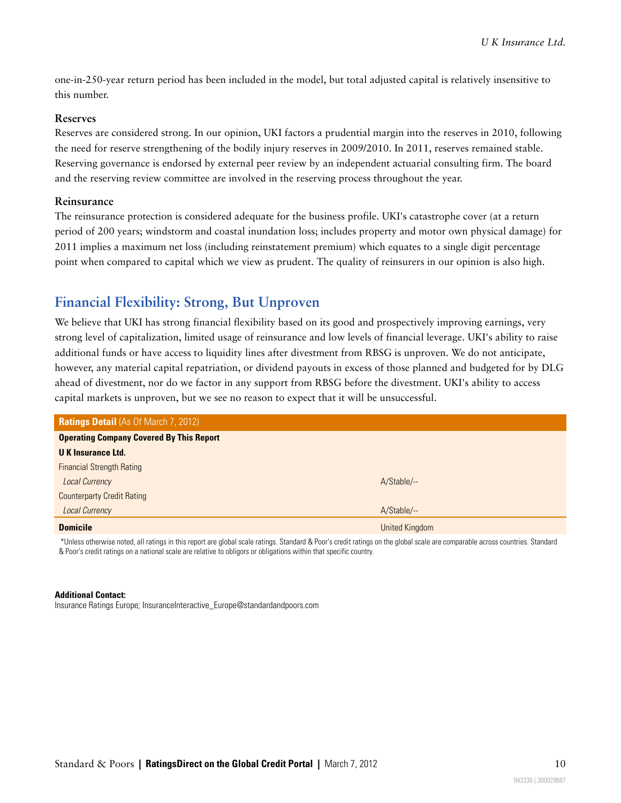one-in-250-year return period has been included in the model, but total adjusted capital is relatively insensitive to this number.

#### **Reserves**

Reserves are considered strong. In our opinion, UKI factors a prudential margin into the reserves in 2010, following the need for reserve strengthening of the bodily injury reserves in 2009/2010. In 2011, reserves remained stable. Reserving governance is endorsed by external peer review by an independent actuarial consulting firm. The board and the reserving review committee are involved in the reserving process throughout the year.

#### **Reinsurance**

The reinsurance protection is considered adequate for the business profile. UKI's catastrophe cover (at a return period of 200 years; windstorm and coastal inundation loss; includes property and motor own physical damage) for 2011 implies a maximum net loss (including reinstatement premium) which equates to a single digit percentage point when compared to capital which we view as prudent. The quality of reinsurers in our opinion is also high.

## <span id="page-9-0"></span>**Financial Flexibility: Strong, But Unproven**

We believe that UKI has strong financial flexibility based on its good and prospectively improving earnings, very strong level of capitalization, limited usage of reinsurance and low levels of financial leverage. UKI's ability to raise additional funds or have access to liquidity lines after divestment from RBSG is unproven. We do not anticipate, however, any material capital repatriation, or dividend payouts in excess of those planned and budgeted for by DLG ahead of divestment, nor do we factor in any support from RBSG before the divestment. UKI's ability to access capital markets is unproven, but we see no reason to expect that it will be unsuccessful.

| <b>Ratings Detail (As Of March 7, 2012)</b>     |                       |  |  |
|-------------------------------------------------|-----------------------|--|--|
| <b>Operating Company Covered By This Report</b> |                       |  |  |
| <b>UK Insurance Ltd.</b>                        |                       |  |  |
| <b>Financial Strength Rating</b>                |                       |  |  |
| <b>Local Currency</b>                           | A/Stable/--           |  |  |
| <b>Counterparty Credit Rating</b>               |                       |  |  |
| <b>Local Currency</b>                           | A/Stable/--           |  |  |
| <b>Domicile</b>                                 | <b>United Kingdom</b> |  |  |

\*Unless otherwise noted, all ratings in this report are global scale ratings. Standard & Poor's credit ratings on the global scale are comparable across countries. Standard & Poor's credit ratings on a national scale are relative to obligors or obligations within that specific country.

#### **Additional Contact:**

Insurance Ratings Europe; InsuranceInteractive\_Europe@standardandpoors.com